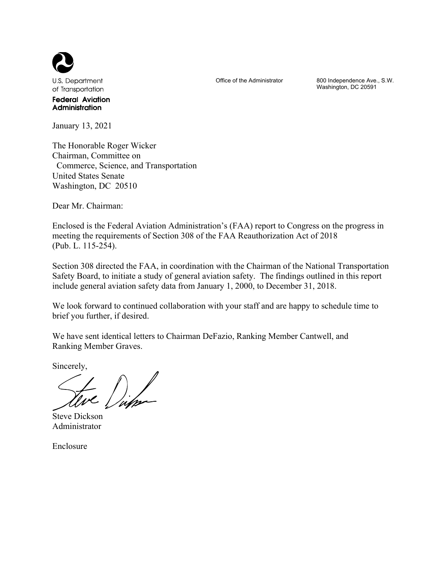

**Federal Aviation** Administration

January 13, 2021

The Honorable Roger Wicker Chairman, Committee on Commerce, Science, and Transportation United States Senate Washington, DC 20510

Dear Mr. Chairman:

Enclosed is the Federal Aviation Administration's (FAA) report to Congress on the progress in meeting the requirements of Section 308 of the FAA Reauthorization Act of 2018 (Pub. L. 115-254).

Section 308 directed the FAA, in coordination with the Chairman of the National Transportation Safety Board, to initiate a study of general aviation safety. The findings outlined in this report include general aviation safety data from January 1, 2000, to December 31, 2018.

We look forward to continued collaboration with your staff and are happy to schedule time to brief you further, if desired.

We have sent identical letters to Chairman DeFazio, Ranking Member Cantwell, and Ranking Member Graves.

Sincerely,

Steve Dickson Administrator

Enclosure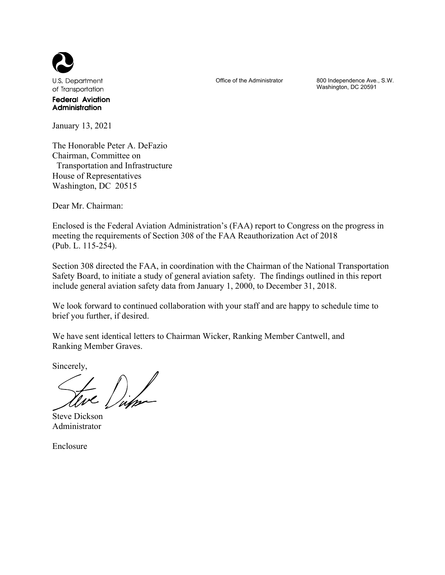

**Federal Aviation** Administration

January 13, 2021

The Honorable Peter A. DeFazio Chairman, Committee on Transportation and Infrastructure House of Representatives Washington, DC 20515

Dear Mr. Chairman:

Enclosed is the Federal Aviation Administration's (FAA) report to Congress on the progress in meeting the requirements of Section 308 of the FAA Reauthorization Act of 2018 (Pub. L. 115-254).

Section 308 directed the FAA, in coordination with the Chairman of the National Transportation Safety Board, to initiate a study of general aviation safety. The findings outlined in this report include general aviation safety data from January 1, 2000, to December 31, 2018.

We look forward to continued collaboration with your staff and are happy to schedule time to brief you further, if desired.

We have sent identical letters to Chairman Wicker, Ranking Member Cantwell, and Ranking Member Graves.

Sincerely,

Steve Dickson Administrator

Enclosure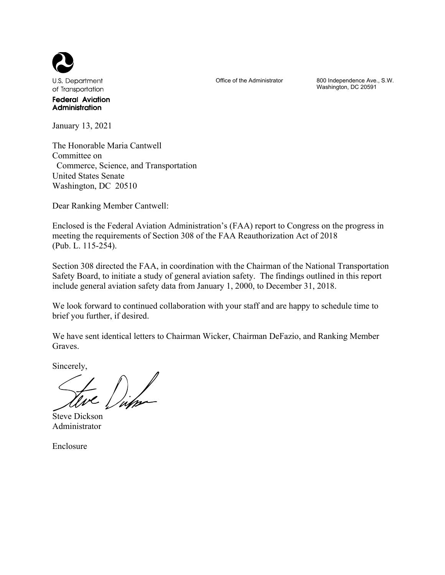

**Federal Aviation** Administration

January 13, 2021

The Honorable Maria Cantwell Committee on Commerce, Science, and Transportation United States Senate Washington, DC 20510

Dear Ranking Member Cantwell:

Enclosed is the Federal Aviation Administration's (FAA) report to Congress on the progress in meeting the requirements of Section 308 of the FAA Reauthorization Act of 2018 (Pub. L. 115-254).

Section 308 directed the FAA, in coordination with the Chairman of the National Transportation Safety Board, to initiate a study of general aviation safety. The findings outlined in this report include general aviation safety data from January 1, 2000, to December 31, 2018.

We look forward to continued collaboration with your staff and are happy to schedule time to brief you further, if desired.

We have sent identical letters to Chairman Wicker, Chairman DeFazio, and Ranking Member Graves.

Sincerely,

Steve Dickson Administrator

Enclosure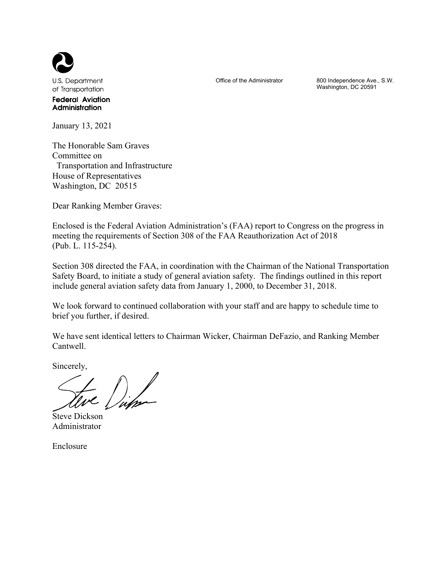

**Federal Aviation** Administration

January 13, 2021

The Honorable Sam Graves Committee on Transportation and Infrastructure House of Representatives Washington, DC 20515

Dear Ranking Member Graves:

Enclosed is the Federal Aviation Administration's (FAA) report to Congress on the progress in meeting the requirements of Section 308 of the FAA Reauthorization Act of 2018 (Pub. L. 115-254).

Section 308 directed the FAA, in coordination with the Chairman of the National Transportation Safety Board, to initiate a study of general aviation safety. The findings outlined in this report include general aviation safety data from January 1, 2000, to December 31, 2018.

We look forward to continued collaboration with your staff and are happy to schedule time to brief you further, if desired.

We have sent identical letters to Chairman Wicker, Chairman DeFazio, and Ranking Member Cantwell.

Sincerely,

Steve Dickson Administrator

Enclosure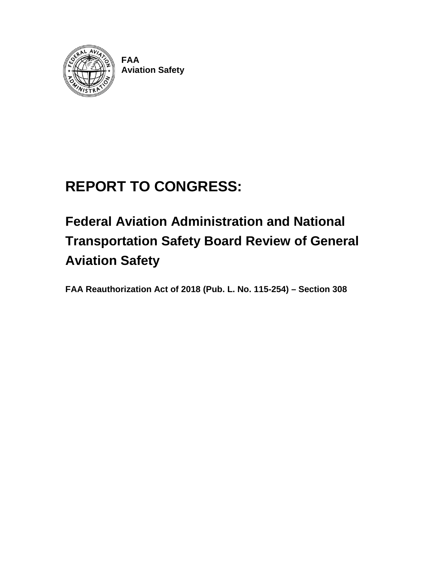

**FAA Aviation Safety**

# **REPORT TO CONGRESS:**

# **Federal Aviation Administration and National Transportation Safety Board Review of General Aviation Safety**

**FAA Reauthorization Act of 2018 (Pub. L. No. 115-254) – Section 308**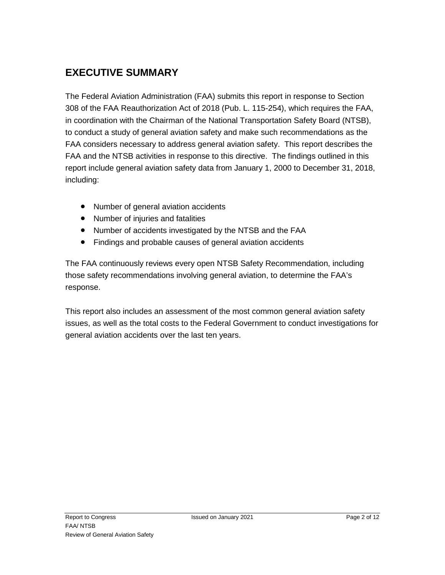## <span id="page-5-0"></span>**EXECUTIVE SUMMARY**

The Federal Aviation Administration (FAA) submits this report in response to Section 308 of the FAA Reauthorization Act of 2018 (Pub. L. 115-254), which requires the FAA, in coordination with the Chairman of the National Transportation Safety Board (NTSB), to conduct a study of general aviation safety and make such recommendations as the FAA considers necessary to address general aviation safety. This report describes the FAA and the NTSB activities in response to this directive. The findings outlined in this report include general aviation safety data from January 1, 2000 to December 31, 2018, including:

- Number of general aviation accidents
- Number of injuries and fatalities
- Number of accidents investigated by the NTSB and the FAA
- Findings and probable causes of general aviation accidents

The FAA continuously reviews every open NTSB Safety Recommendation, including those safety recommendations involving general aviation, to determine the FAA's response.

This report also includes an assessment of the most common general aviation safety issues, as well as the total costs to the Federal Government to conduct investigations for general aviation accidents over the last ten years.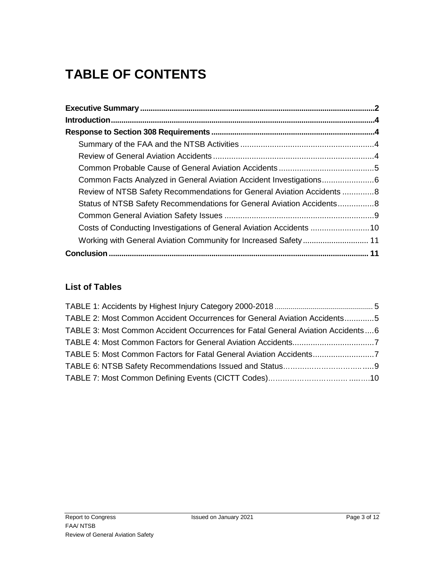## **TABLE OF CONTENTS**

| Review of NTSB Safety Recommendations for General Aviation Accidents8 |  |
|-----------------------------------------------------------------------|--|
| Status of NTSB Safety Recommendations for General Aviation Accidents8 |  |
|                                                                       |  |
| Costs of Conducting Investigations of General Aviation Accidents 10   |  |
| Working with General Aviation Community for Increased Safety 11       |  |
|                                                                       |  |

### **List of Tables**

| TABLE 2: Most Common Accident Occurrences for General Aviation Accidents5       |  |
|---------------------------------------------------------------------------------|--|
| TABLE 3: Most Common Accident Occurrences for Fatal General Aviation Accidents6 |  |
|                                                                                 |  |
| TABLE 5: Most Common Factors for Fatal General Aviation Accidents               |  |
|                                                                                 |  |
|                                                                                 |  |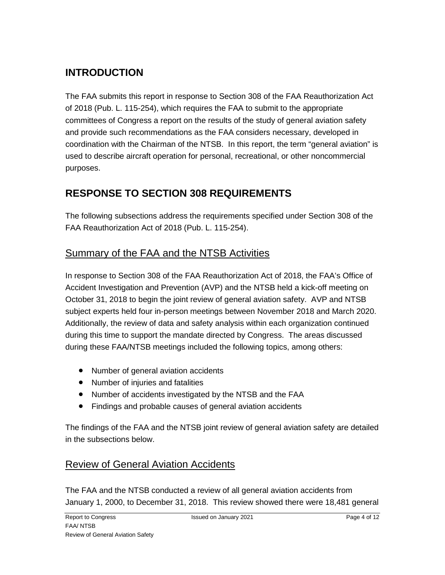## <span id="page-7-0"></span>**INTRODUCTION**

The FAA submits this report in response to Section 308 of the FAA Reauthorization Act of 2018 (Pub. L. 115-254), which requires the FAA to submit to the appropriate committees of Congress a report on the results of the study of general aviation safety and provide such recommendations as the FAA considers necessary, developed in coordination with the Chairman of the NTSB. In this report, the term "general aviation" is used to describe aircraft operation for personal, recreational, or other noncommercial purposes.

## <span id="page-7-1"></span>**RESPONSE TO SECTION 308 REQUIREMENTS**

The following subsections address the requirements specified under Section 308 of the FAA Reauthorization Act of 2018 (Pub. L. 115-254).

## <span id="page-7-2"></span>Summary of the FAA and the NTSB Activities

In response to Section 308 of the FAA Reauthorization Act of 2018, the FAA's Office of Accident Investigation and Prevention (AVP) and the NTSB held a kick-off meeting on October 31, 2018 to begin the joint review of general aviation safety. AVP and NTSB subject experts held four in-person meetings between November 2018 and March 2020. Additionally, the review of data and safety analysis within each organization continued during this time to support the mandate directed by Congress. The areas discussed during these FAA/NTSB meetings included the following topics, among others:

- Number of general aviation accidents
- Number of injuries and fatalities
- Number of accidents investigated by the NTSB and the FAA
- Findings and probable causes of general aviation accidents

The findings of the FAA and the NTSB joint review of general aviation safety are detailed in the subsections below.

## <span id="page-7-3"></span>Review of General Aviation Accidents

The FAA and the NTSB conducted a review of all general aviation accidents from January 1, 2000, to December 31, 2018. This review showed there were 18,481 general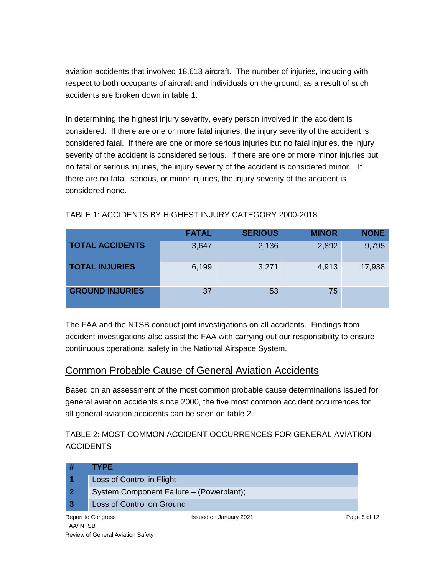aviation accidents that involved 18,613 aircraft. The number of injuries, including with respect to both occupants of aircraft and individuals on the ground, as a result of such accidents are broken down in table 1.

In determining the highest injury severity, every person involved in the accident is considered. If there are one or more fatal injuries, the injury severity of the accident is considered fatal. If there are one or more serious injuries but no fatal injuries, the injury severity of the accident is considered serious. If there are one or more minor injuries but no fatal or serious injuries, the injury severity of the accident is considered minor. If there are no fatal, serious, or minor injuries, the injury severity of the accident is considered none.

|                        | <b>FATAL</b> | <b>SERIOUS</b> | <b>MINOR</b> | <b>NONE</b> |
|------------------------|--------------|----------------|--------------|-------------|
| <b>TOTAL ACCIDENTS</b> | 3,647        | 2,136          | 2,892        | 9,795       |
| <b>TOTAL INJURIES</b>  | 6,199        | 3,271          | 4,913        | 17,938      |
| <b>GROUND INJURIES</b> | 37           | 53             | 75           |             |

#### TABLE 1: ACCIDENTS BY HIGHEST INJURY CATEGORY 2000-2018

The FAA and the NTSB conduct joint investigations on all accidents. Findings from accident investigations also assist the FAA with carrying out our responsibility to ensure continuous operational safety in the National Airspace System.

### <span id="page-8-0"></span>Common Probable Cause of General Aviation Accidents

Based on an assessment of the most common probable cause determinations issued for general aviation accidents since 2000, the five most common accident occurrences for all general aviation accidents can be seen on table 2.

TABLE 2: MOST COMMON ACCIDENT OCCURRENCES FOR GENERAL AVIATION **ACCIDENTS** 

| <b>TYPE</b>               |                                          |              |
|---------------------------|------------------------------------------|--------------|
| Loss of Control in Flight |                                          |              |
|                           | System Component Failure - (Powerplant); |              |
| Loss of Control on Ground |                                          |              |
| <b>Report to Congress</b> | Issued on January 2021                   | Page 5 of 12 |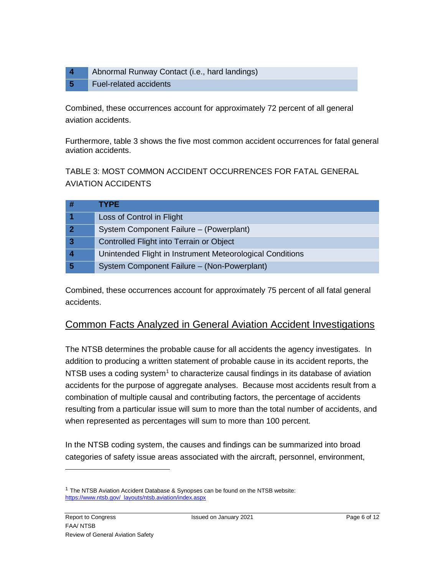**4** Abnormal Runway Contact (i.e., hard landings) **5** Fuel-related accidents

Combined, these occurrences account for approximately 72 percent of all general aviation accidents.

Furthermore, table 3 shows the five most common accident occurrences for fatal general aviation accidents.

TABLE 3: MOST COMMON ACCIDENT OCCURRENCES FOR FATAL GENERAL AVIATION ACCIDENTS

|   | <b>TYPE</b>                                               |
|---|-----------------------------------------------------------|
|   | Loss of Control in Flight                                 |
|   | System Component Failure - (Powerplant)                   |
| 3 | Controlled Flight into Terrain or Object                  |
|   | Unintended Flight in Instrument Meteorological Conditions |
|   | System Component Failure – (Non-Powerplant)               |

Combined, these occurrences account for approximately 75 percent of all fatal general accidents.

## <span id="page-9-0"></span>Common Facts Analyzed in General Aviation Accident Investigations

The NTSB determines the probable cause for all accidents the agency investigates. In addition to producing a written statement of probable cause in its accident reports, the NTSB uses a coding system<sup>[1](#page-9-1)</sup> to characterize causal findings in its database of aviation accidents for the purpose of aggregate analyses. Because most accidents result from a combination of multiple causal and contributing factors, the percentage of accidents resulting from a particular issue will sum to more than the total number of accidents, and when represented as percentages will sum to more than 100 percent.

In the NTSB coding system, the causes and findings can be summarized into broad categories of safety issue areas associated with the aircraft, personnel, environment,

<span id="page-9-1"></span> $1$  The NTSB Aviation Accident Database & Synopses can be found on the NTSB website: [https://www.ntsb.gov/\\_layouts/ntsb.aviation/index.aspx](https://www.ntsb.gov/_layouts/ntsb.aviation/index.aspx)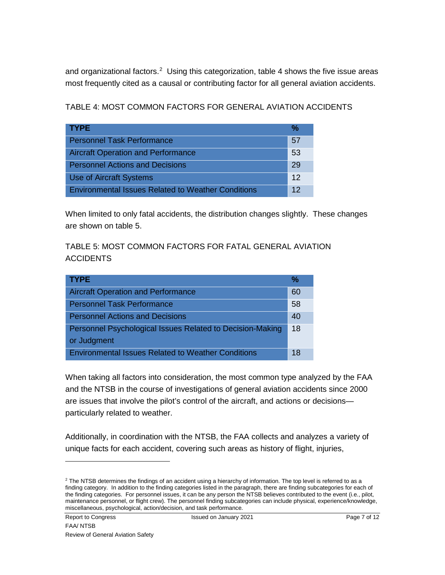and organizational factors.<sup>[2](#page-10-0)</sup> Using this categorization, table 4 shows the five issue areas most frequently cited as a causal or contributing factor for all general aviation accidents.

TABLE 4: MOST COMMON FACTORS FOR GENERAL AVIATION ACCIDENTS

| <b>TYPE</b>                                               | %  |
|-----------------------------------------------------------|----|
| <b>Personnel Task Performance</b>                         | 57 |
| <b>Aircraft Operation and Performance</b>                 | 53 |
| <b>Personnel Actions and Decisions</b>                    | 29 |
| <b>Use of Aircraft Systems</b>                            | 12 |
| <b>Environmental Issues Related to Weather Conditions</b> | 12 |

When limited to only fatal accidents, the distribution changes slightly. These changes are shown on table 5.

TABLE 5: MOST COMMON FACTORS FOR FATAL GENERAL AVIATION **ACCIDENTS** 

| <b>TYPE</b>                                                              | %  |
|--------------------------------------------------------------------------|----|
| <b>Aircraft Operation and Performance</b>                                | 60 |
| <b>Personnel Task Performance</b>                                        | 58 |
| <b>Personnel Actions and Decisions</b>                                   | 40 |
| Personnel Psychological Issues Related to Decision-Making<br>or Judgment | 18 |
| <b>Environmental Issues Related to Weather Conditions</b>                | 18 |

When taking all factors into consideration, the most common type analyzed by the FAA and the NTSB in the course of investigations of general aviation accidents since 2000 are issues that involve the pilot's control of the aircraft, and actions or decisions particularly related to weather.

Additionally, in coordination with the NTSB, the FAA collects and analyzes a variety of unique facts for each accident, covering such areas as history of flight, injuries,

<span id="page-10-0"></span> $2$  The NTSB determines the findings of an accident using a hierarchy of information. The top level is referred to as a finding category. In addition to the finding categories listed in the paragraph, there are finding subcategories for each of the finding categories. For personnel issues, it can be any person the NTSB believes contributed to the event (i.e., pilot, maintenance personnel, or flight crew). The personnel finding subcategories can include physical, experience/knowledge, miscellaneous, psychological, action/decision, and task performance.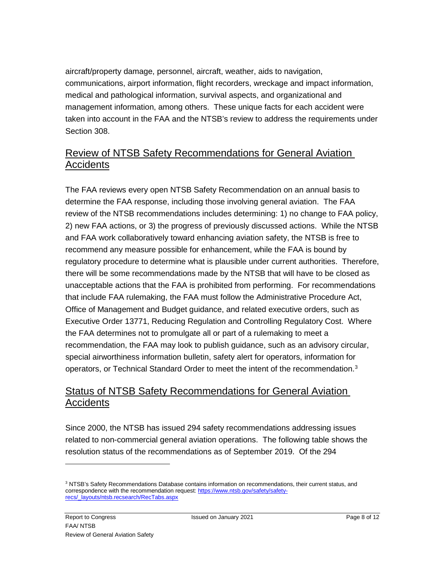aircraft/property damage, personnel, aircraft, weather, aids to navigation, communications, airport information, flight recorders, wreckage and impact information, medical and pathological information, survival aspects, and organizational and management information, among others. These unique facts for each accident were taken into account in the FAA and the NTSB's review to address the requirements under Section 308.

## <span id="page-11-0"></span>Review of NTSB Safety Recommendations for General Aviation Accidents

The FAA reviews every open NTSB Safety Recommendation on an annual basis to determine the FAA response, including those involving general aviation. The FAA review of the NTSB recommendations includes determining: 1) no change to FAA policy, 2) new FAA actions, or 3) the progress of previously discussed actions. While the NTSB and FAA work collaboratively toward enhancing aviation safety, the NTSB is free to recommend any measure possible for enhancement, while the FAA is bound by regulatory procedure to determine what is plausible under current authorities. Therefore, there will be some recommendations made by the NTSB that will have to be closed as unacceptable actions that the FAA is prohibited from performing. For recommendations that include FAA rulemaking, the FAA must follow the Administrative Procedure Act, Office of Management and Budget guidance, and related executive orders, such as Executive Order 13771, Reducing Regulation and Controlling Regulatory Cost. Where the FAA determines not to promulgate all or part of a rulemaking to meet a recommendation, the FAA may look to publish guidance, such as an advisory circular, special airworthiness information bulletin, safety alert for operators, information for operators, or Technical Standard Order to meet the intent of the recommendation.<sup>[3](#page-11-2)</sup>

## <span id="page-11-1"></span>Status of NTSB Safety Recommendations for General Aviation Accidents

Since 2000, the NTSB has issued 294 safety recommendations addressing issues related to non-commercial general aviation operations. The following table shows the resolution status of the recommendations as of September 2019. Of the 294

<span id="page-11-2"></span><sup>&</sup>lt;sup>3</sup> NTSB's Safety Recommendations Database contains information on recommendations, their current status, and correspondence with the recommendation request[: https://www.ntsb.gov/safety/safety](https://www.ntsb.gov/safety/safety-recs/_layouts/ntsb.recsearch/RecTabs.aspx)[recs/\\_layouts/ntsb.recsearch/RecTabs.aspx](https://www.ntsb.gov/safety/safety-recs/_layouts/ntsb.recsearch/RecTabs.aspx)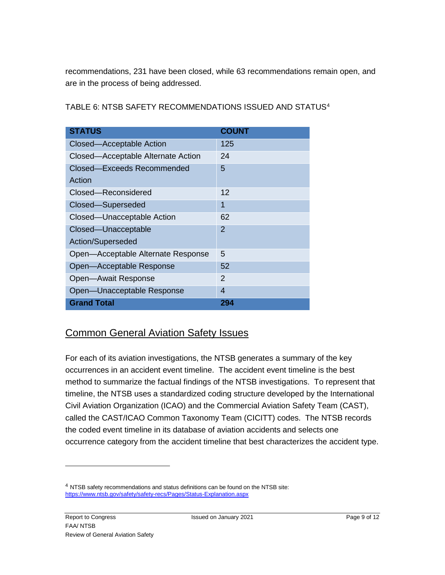recommendations, 231 have been closed, while 63 recommendations remain open, and are in the process of being addressed.

TABLE 6: NTSB SAFETY RECOMMENDATIONS ISSUED AND STATUS[4](#page-12-1)

| <b>STATUS</b>                      | <b>COUNT</b> |
|------------------------------------|--------------|
| Closed-Acceptable Action           | 125          |
| Closed—Acceptable Alternate Action | 24           |
| Closed-Exceeds Recommended         | 5            |
| Action                             |              |
| Closed-Reconsidered                | 12           |
| Closed-Superseded                  | 1            |
| Closed-Unacceptable Action         | 62           |
| Closed-Unacceptable                | 2            |
| Action/Superseded                  |              |
| Open-Acceptable Alternate Response | 5            |
| Open-Acceptable Response           | 52           |
| Open-Await Response                | 2            |
| Open-Unacceptable Response         | 4            |
| <b>Grand Total</b>                 | 294          |

### <span id="page-12-0"></span>Common General Aviation Safety Issues

For each of its aviation investigations, the NTSB generates a summary of the key occurrences in an accident event timeline. The accident event timeline is the best method to summarize the factual findings of the NTSB investigations. To represent that timeline, the NTSB uses a standardized coding structure developed by the International Civil Aviation Organization (ICAO) and the Commercial Aviation Safety Team (CAST), called the CAST/ICAO Common Taxonomy Team (CICITT) codes. The NTSB records the coded event timeline in its database of aviation accidents and selects one occurrence category from the accident timeline that best characterizes the accident type.

<span id="page-12-1"></span><sup>&</sup>lt;sup>4</sup> NTSB safety recommendations and status definitions can be found on the NTSB site: <https://www.ntsb.gov/safety/safety-recs/Pages/Status-Explanation.aspx>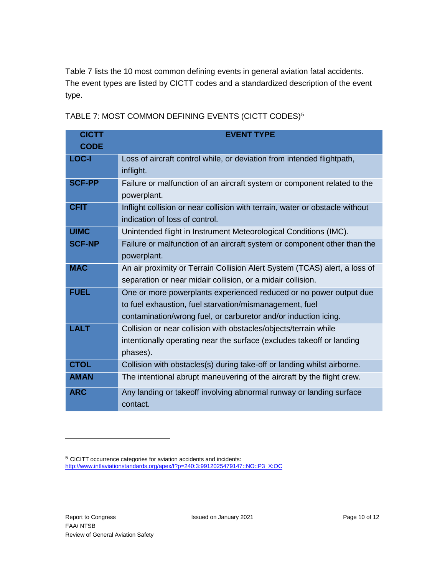Table 7 lists the 10 most common defining events in general aviation fatal accidents. The event types are listed by CICTT codes and a standardized description of the event type.

| TABLE 7: MOST COMMON DEFINING EVENTS (CICTT CODES) <sup>5</sup> |  |  |  |
|-----------------------------------------------------------------|--|--|--|
|-----------------------------------------------------------------|--|--|--|

| <b>CICTT</b>  | <b>EVENT TYPE</b>                                                            |
|---------------|------------------------------------------------------------------------------|
| <b>CODE</b>   |                                                                              |
| LOC-I         | Loss of aircraft control while, or deviation from intended flightpath,       |
|               | inflight.                                                                    |
| <b>SCF-PP</b> | Failure or malfunction of an aircraft system or component related to the     |
|               | powerplant.                                                                  |
| <b>CFIT</b>   | Inflight collision or near collision with terrain, water or obstacle without |
|               | indication of loss of control.                                               |
| <b>UIMC</b>   | Unintended flight in Instrument Meteorological Conditions (IMC).             |
| <b>SCF-NP</b> | Failure or malfunction of an aircraft system or component other than the     |
|               | powerplant.                                                                  |
| <b>MAC</b>    | An air proximity or Terrain Collision Alert System (TCAS) alert, a loss of   |
|               | separation or near midair collision, or a midair collision.                  |
| <b>FUEL</b>   | One or more powerplants experienced reduced or no power output due           |
|               | to fuel exhaustion, fuel starvation/mismanagement, fuel                      |
|               | contamination/wrong fuel, or carburetor and/or induction icing.              |
| <b>LALT</b>   | Collision or near collision with obstacles/objects/terrain while             |
|               | intentionally operating near the surface (excludes takeoff or landing        |
|               | phases).                                                                     |
| <b>CTOL</b>   | Collision with obstacles(s) during take-off or landing whilst airborne.      |
| <b>AMAN</b>   | The intentional abrupt maneuvering of the aircraft by the flight crew.       |
| <b>ARC</b>    | Any landing or takeoff involving abnormal runway or landing surface          |
|               | contact.                                                                     |

j

<span id="page-13-0"></span><sup>&</sup>lt;sup>5</sup> CICITT occurrence categories for aviation accidents and incidents: [http://www.intlaviationstandards.org/apex/f?p=240:3:9912025479147::NO::P3\\_X:OC](http://www.intlaviationstandards.org/apex/f?p=240:3:9912025479147::NO::P3_X:OC)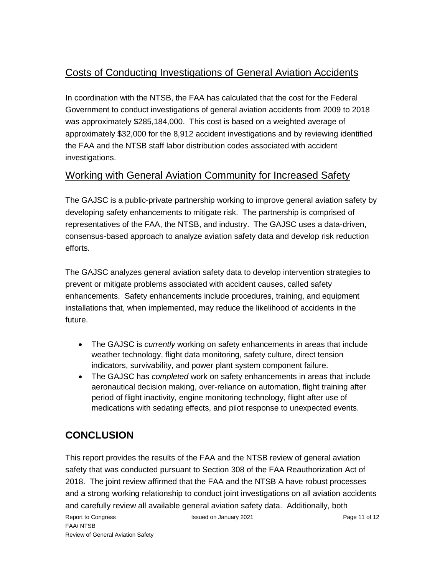## <span id="page-14-0"></span>Costs of Conducting Investigations of General Aviation Accidents

In coordination with the NTSB, the FAA has calculated that the cost for the Federal Government to conduct investigations of general aviation accidents from 2009 to 2018 was approximately \$285,184,000. This cost is based on a weighted average of approximately \$32,000 for the 8,912 accident investigations and by reviewing identified the FAA and the NTSB staff labor distribution codes associated with accident investigations.

## <span id="page-14-1"></span>Working with General Aviation Community for Increased Safety

The GAJSC is a public-private partnership working to improve general aviation safety by developing safety enhancements to mitigate risk. The partnership is comprised of representatives of the FAA, the NTSB, and industry. The GAJSC uses a data-driven, consensus-based approach to analyze aviation safety data and develop risk reduction efforts.

The GAJSC analyzes general aviation safety data to develop intervention strategies to prevent or mitigate problems associated with accident causes, called safety enhancements. Safety enhancements include procedures, training, and equipment installations that, when implemented, may reduce the likelihood of accidents in the future.

- The GAJSC is *currently* working on safety enhancements in areas that include weather technology, flight data monitoring, safety culture, direct tension indicators, survivability, and power plant system component failure.
- The GAJSC has *completed* work on safety enhancements in areas that include aeronautical decision making, over-reliance on automation, flight training after period of flight inactivity, engine monitoring technology, flight after use of medications with sedating effects, and pilot response to unexpected events.

## <span id="page-14-2"></span>**CONCLUSION**

This report provides the results of the FAA and the NTSB review of general aviation safety that was conducted pursuant to Section 308 of the FAA Reauthorization Act of 2018. The joint review affirmed that the FAA and the NTSB A have robust processes and a strong working relationship to conduct joint investigations on all aviation accidents and carefully review all available general aviation safety data. Additionally, both